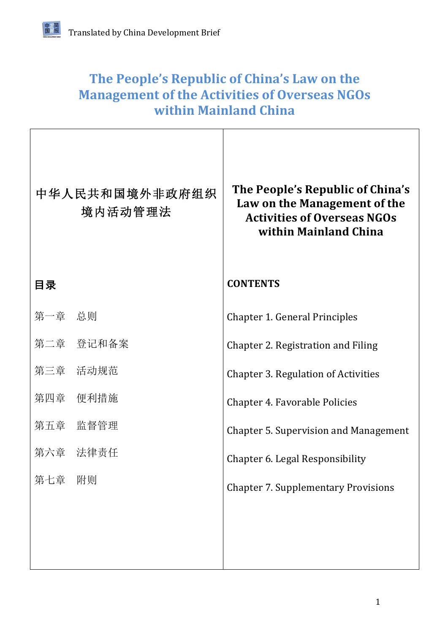## The People's Republic of China's Law on the **Management of the Activities of Overseas NGOs within Mainland China**

|        | 中华人民共和国境外非政府组织<br>境内活动管理法 | The People's Republic of China's<br>Law on the Management of the<br><b>Activities of Overseas NGOs</b><br>within Mainland China |
|--------|---------------------------|---------------------------------------------------------------------------------------------------------------------------------|
| 目录     |                           | <b>CONTENTS</b>                                                                                                                 |
| 第一章 总则 |                           | <b>Chapter 1. General Principles</b>                                                                                            |
|        | 第二章 登记和备案                 | Chapter 2. Registration and Filing                                                                                              |
|        | 第三章 活动规范                  | <b>Chapter 3. Regulation of Activities</b>                                                                                      |
|        | 第四章 便利措施                  | Chapter 4. Favorable Policies                                                                                                   |
|        | 第五章 监督管理                  | <b>Chapter 5. Supervision and Management</b>                                                                                    |
|        | 第六章 法律责任                  | Chapter 6. Legal Responsibility                                                                                                 |
| 第七章    | 附则                        | <b>Chapter 7. Supplementary Provisions</b>                                                                                      |
|        |                           |                                                                                                                                 |
|        |                           |                                                                                                                                 |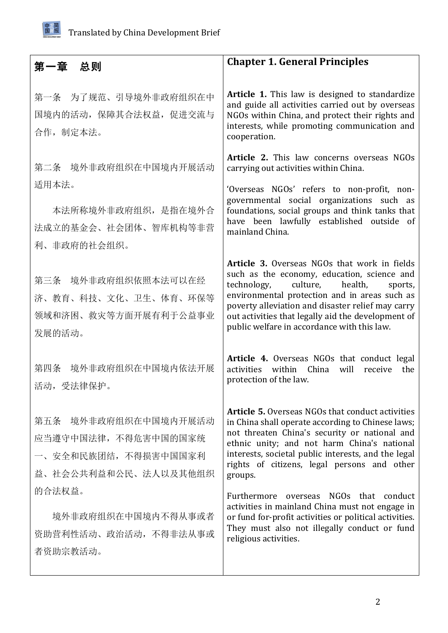

| 第一章 总则                                                                                      | <b>Chapter 1. General Principles</b>                                                                                                                                                                                                                                                                                                                 |
|---------------------------------------------------------------------------------------------|------------------------------------------------------------------------------------------------------------------------------------------------------------------------------------------------------------------------------------------------------------------------------------------------------------------------------------------------------|
| 第一条 为了规范、引导境外非政府组织在中<br>国境内的活动,保障其合法权益,促进交流与<br>合作, 制定本法。                                   | Article 1. This law is designed to standardize<br>and guide all activities carried out by overseas<br>NGOs within China, and protect their rights and<br>interests, while promoting communication and<br>cooperation.                                                                                                                                |
| 第二条 境外非政府组织在中国境内开展活动                                                                        | Article 2. This law concerns overseas NGOs<br>carrying out activities within China.                                                                                                                                                                                                                                                                  |
| 适用本法。<br>本法所称境外非政府组织, 是指在境外合<br>法成立的基金会、社会团体、智库机构等非营<br>利、非政府的社会组织。                         | 'Overseas NGOs' refers to non-profit, non-<br>governmental social organizations such as<br>foundations, social groups and think tanks that<br>have been lawfully established outside of<br>mainland China.                                                                                                                                           |
| 第三条 境外非政府组织依照本法可以在经<br>济、教育、科技、文化、卫生、体育、环保等<br>领域和济困、救灾等方面开展有利于公益事业<br>发展的活动。               | Article 3. Overseas NGOs that work in fields<br>such as the economy, education, science and<br>culture, health,<br>technology,<br>sports,<br>environmental protection and in areas such as<br>poverty alleviation and disaster relief may carry<br>out activities that legally aid the development of<br>public welfare in accordance with this law. |
| 境外非政府组织在中国境内依法开展<br>第四条<br>活动,受法律保护。                                                        | Article 4. Overseas NGOs that conduct legal<br>activities within China<br>will<br>receive<br>the<br>protection of the law.                                                                                                                                                                                                                           |
| 第五条 境外非政府组织在中国境内开展活动<br>应当遵守中国法律, 不得危害中国的国家统<br>一、安全和民族团结,不得损害中国国家利<br>益、社会公共利益和公民、法人以及其他组织 | <b>Article 5.</b> Overseas NGOs that conduct activities<br>in China shall operate according to Chinese laws;<br>not threaten China's security or national and<br>ethnic unity; and not harm China's national<br>interests, societal public interests, and the legal<br>rights of citizens, legal persons and other<br>groups.                        |
| 的合法权益。<br>境外非政府组织在中国境内不得从事或者<br>资助营利性活动、政治活动,不得非法从事或<br>者资助宗教活动。                            | Furthermore overseas NGOs that conduct<br>activities in mainland China must not engage in<br>or fund for-profit activities or political activities.<br>They must also not illegally conduct or fund<br>religious activities.                                                                                                                         |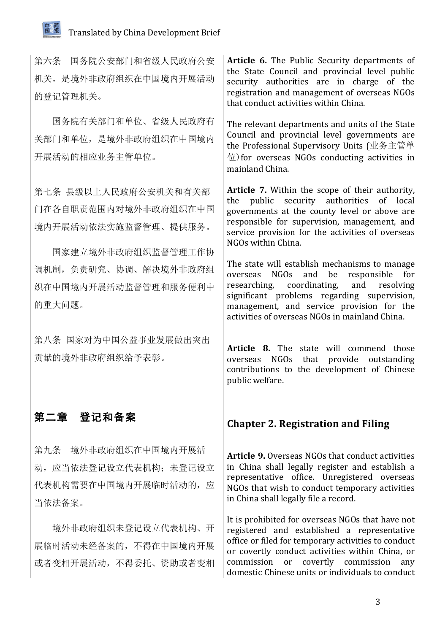

| 第六条 国务院公安部门和省级人民政府公安<br>机关, 是境外非政府组织在中国境内开展活动<br>的登记管理机关。                                  | Article 6. The Public Security departments of<br>the State Council and provincial level public<br>security authorities are in charge of the<br>registration and management of overseas NGOs<br>that conduct activities within China.                                                                      |
|--------------------------------------------------------------------------------------------|-----------------------------------------------------------------------------------------------------------------------------------------------------------------------------------------------------------------------------------------------------------------------------------------------------------|
| 国务院有关部门和单位、省级人民政府有<br>关部门和单位, 是境外非政府组织在中国境内<br>开展活动的相应业务主管单位。                              | The relevant departments and units of the State<br>Council and provincial level governments are<br>the Professional Supervisory Units (业务主管单<br>$\hat{\boxplus}$ ) for overseas NGOs conducting activities in<br>mainland China.                                                                          |
| 第七条 县级以上人民政府公安机关和有关部<br>门在各自职责范围内对境外非政府组织在中国<br>境内开展活动依法实施监督管理、提供服务。<br>国家建立境外非政府组织监督管理工作协 | Article 7. Within the scope of their authority,<br>the public security authorities<br>of local<br>governments at the county level or above are<br>responsible for supervision, management, and<br>service provision for the activities of overseas<br>NGOs within China.                                  |
| 调机制, 负责研究、协调、解决境外非政府组<br>织在中国境内开展活动监督管理和服务便利中<br>的重大问题。                                    | The state will establish mechanisms to manage<br>be<br>NGOs and<br>responsible<br>for<br>overseas<br>coordinating,<br>and<br>researching,<br>resolving<br>significant problems regarding supervision,<br>management, and service provision for the<br>activities of overseas NGOs in mainland China.      |
| 第八条 国家对为中国公益事业发展做出突出<br>贡献的境外非政府组织给予表彰。                                                    | Article 8. The state will commend those<br>overseas NGOs<br>that provide outstanding<br>contributions to the development of Chinese<br>public welfare.                                                                                                                                                    |
| 第二章 登记和备案                                                                                  | <b>Chapter 2. Registration and Filing</b>                                                                                                                                                                                                                                                                 |
| 第九条 境外非政府组织在中国境内开展活<br>动, 应当依法登记设立代表机构; 未登记设立<br>代表机构需要在中国境内开展临时活动的, 应<br>当依法备案。           | <b>Article 9.</b> Overseas NGOs that conduct activities<br>in China shall legally register and establish a<br>representative office. Unregistered overseas<br>NGOs that wish to conduct temporary activities<br>in China shall legally file a record.                                                     |
| 境外非政府组织未登记设立代表机构、开<br>展临时活动未经备案的, 不得在中国境内开展<br>或者变相开展活动, 不得委托、资助或者变相                       | It is prohibited for overseas NGOs that have not<br>registered and established a representative<br>office or filed for temporary activities to conduct<br>or covertly conduct activities within China, or<br>commission or covertly commission<br>any<br>domestic Chinese units or individuals to conduct |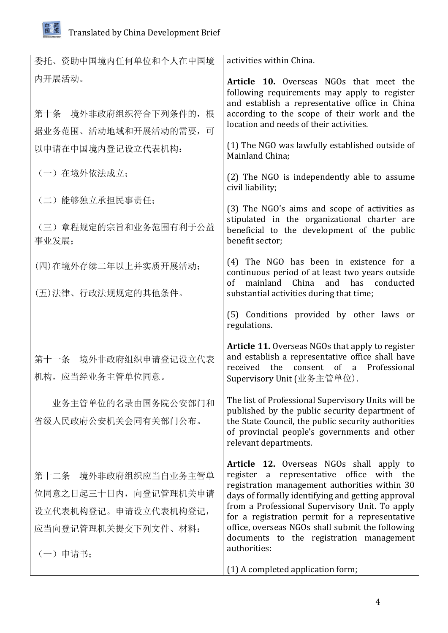

| 委托、资助中国境内任何单位和个人在中国境                                                                                    | activities within China.                                                                                                                                                                                                                                                                                                                                                                                                     |
|---------------------------------------------------------------------------------------------------------|------------------------------------------------------------------------------------------------------------------------------------------------------------------------------------------------------------------------------------------------------------------------------------------------------------------------------------------------------------------------------------------------------------------------------|
| 内开展活动。                                                                                                  | Article 10. Overseas NGOs that meet the<br>following requirements may apply to register<br>and establish a representative office in China                                                                                                                                                                                                                                                                                    |
| 第十条 境外非政府组织符合下列条件的, 根                                                                                   | according to the scope of their work and the<br>location and needs of their activities.                                                                                                                                                                                                                                                                                                                                      |
| 据业务范围、活动地域和开展活动的需要,<br>可                                                                                |                                                                                                                                                                                                                                                                                                                                                                                                                              |
| 以申请在中国境内登记设立代表机构:                                                                                       | (1) The NGO was lawfully established outside of<br>Mainland China;                                                                                                                                                                                                                                                                                                                                                           |
| (一) 在境外依法成立;                                                                                            | (2) The NGO is independently able to assume<br>civil liability;                                                                                                                                                                                                                                                                                                                                                              |
| (二)能够独立承担民事责任;                                                                                          | (3) The NGO's aims and scope of activities as                                                                                                                                                                                                                                                                                                                                                                                |
| (三) 章程规定的宗旨和业务范围有利于公益<br>事业发展;                                                                          | stipulated in the organizational charter are<br>beneficial to the development of the public<br>benefit sector:                                                                                                                                                                                                                                                                                                               |
| (四)在境外存续二年以上并实质开展活动;                                                                                    | (4) The NGO has been in existence for a<br>continuous period of at least two years outside<br>of mainland China<br>and<br>has conducted                                                                                                                                                                                                                                                                                      |
| (五)法律、行政法规规定的其他条件。                                                                                      | substantial activities during that time;                                                                                                                                                                                                                                                                                                                                                                                     |
|                                                                                                         | (5) Conditions provided by other laws or<br>regulations.                                                                                                                                                                                                                                                                                                                                                                     |
| 第十一条 境外非政府组织申请登记设立代表<br>机构, 应当经业务主管单位同意。                                                                | <b>Article 11.</b> Overseas NGOs that apply to register<br>and establish a representative office shall have<br>the<br>consent of a<br>Professional<br>received<br>Supervisory Unit (业务主管单位).                                                                                                                                                                                                                                 |
| 业务主管单位的名录由国务院公安部门和<br>省级人民政府公安机关会同有关部门公布。                                                               | The list of Professional Supervisory Units will be<br>published by the public security department of<br>the State Council, the public security authorities<br>of provincial people's governments and other<br>relevant departments.                                                                                                                                                                                          |
| 第十二条 境外非政府组织应当自业务主管单<br>位同意之日起三十日内,向登记管理机关申请<br>设立代表机构登记。申请设立代表机构登记,<br>应当向登记管理机关提交下列文件、材料:<br>(一) 申请书: | <b>Article 12.</b> Overseas NGOs shall apply to<br>representative office<br>with the<br>register a<br>registration management authorities within 30<br>days of formally identifying and getting approval<br>from a Professional Supervisory Unit. To apply<br>for a registration permit for a representative<br>office, overseas NGOs shall submit the following<br>documents to the registration management<br>authorities: |
|                                                                                                         | (1) A completed application form;                                                                                                                                                                                                                                                                                                                                                                                            |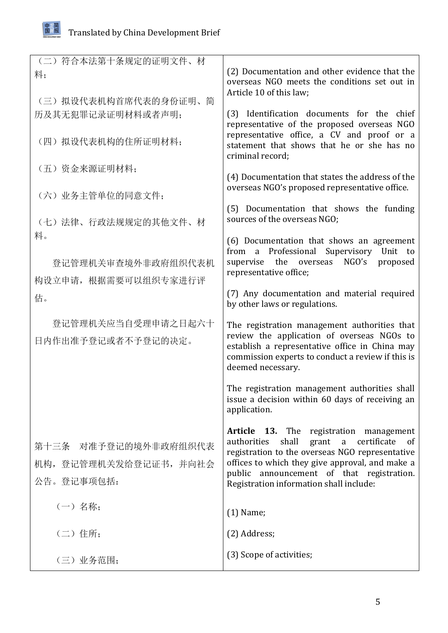

| (二) 符合本法第十条规定的证明文件、材<br>料;                                 | (2) Documentation and other evidence that the<br>overseas NGO meets the conditions set out in<br>Article 10 of this law;                                                                                                                                                                         |
|------------------------------------------------------------|--------------------------------------------------------------------------------------------------------------------------------------------------------------------------------------------------------------------------------------------------------------------------------------------------|
| (三) 拟设代表机构首席代表的身份证明、简<br>历及其无犯罪记录证明材料或者声明;                 | (3) Identification documents for the chief<br>representative of the proposed overseas NGO                                                                                                                                                                                                        |
| (四) 拟设代表机构的住所证明材料;                                         | representative office, a CV and proof or a<br>statement that shows that he or she has no<br>criminal record;                                                                                                                                                                                     |
| (五) 资金来源证明材料;                                              | (4) Documentation that states the address of the                                                                                                                                                                                                                                                 |
| (六) 业务主管单位的同意文件;                                           | overseas NGO's proposed representative office.                                                                                                                                                                                                                                                   |
| (七)法律、行政法规规定的其他文件、材                                        | (5) Documentation that shows the funding<br>sources of the overseas NGO;                                                                                                                                                                                                                         |
| 料。                                                         | (6) Documentation that shows an agreement<br>from a Professional Supervisory Unit to                                                                                                                                                                                                             |
| 登记管理机关审查境外非政府组织代表机<br>构设立申请, 根据需要可以组织专家进行评                 | supervise the<br>NGO's<br>overseas<br>proposed<br>representative office;                                                                                                                                                                                                                         |
| 估。                                                         | (7) Any documentation and material required<br>by other laws or regulations.                                                                                                                                                                                                                     |
| 登记管理机关应当自受理申请之日起六十<br>日内作出准予登记或者不予登记的决定。                   | The registration management authorities that<br>review the application of overseas NGOs to<br>establish a representative office in China may<br>commission experts to conduct a review if this is<br>deemed necessary.                                                                           |
|                                                            | The registration management authorities shall<br>issue a decision within 60 days of receiving an<br>application.                                                                                                                                                                                 |
| 第十三条 对准予登记的境外非政府组织代表<br>机构,登记管理机关发给登记证书,并向社会<br>公告。登记事项包括: | Article 13. The registration management<br>shall<br>certificate<br>authorities<br>grant<br>a<br>of<br>registration to the overseas NGO representative<br>offices to which they give approval, and make a<br>public announcement of that registration.<br>Registration information shall include: |
| (一) 名称;                                                    | $(1)$ Name;                                                                                                                                                                                                                                                                                      |
| (二) 住所;                                                    | (2) Address;                                                                                                                                                                                                                                                                                     |
| (三) 业务范围;                                                  | (3) Scope of activities;                                                                                                                                                                                                                                                                         |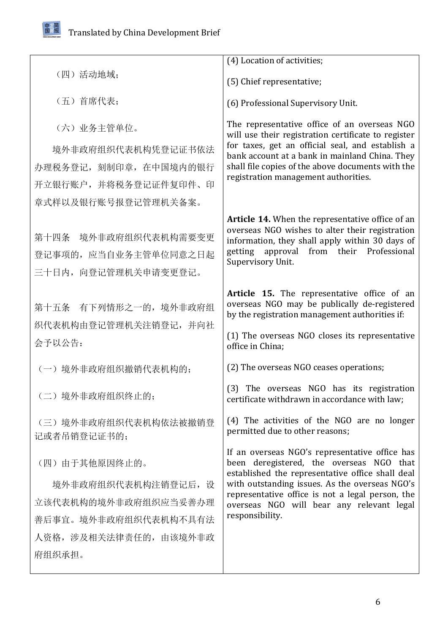日本人<br>国展报

|                                     | (4) Location of activities;                                                                         |
|-------------------------------------|-----------------------------------------------------------------------------------------------------|
| (四)活动地域;                            | (5) Chief representative;                                                                           |
| (五) 首席代表;                           | (6) Professional Supervisory Unit.                                                                  |
| (六) 业务主管单位。                         | The representative office of an overseas NGO<br>will use their registration certificate to register |
| 境外非政府组织代表机构凭登记证书依法                  | for taxes, get an official seal, and establish a<br>bank account at a bank in mainland China. They  |
| 办理税务登记, 刻制印章, 在中国境内的银行              | shall file copies of the above documents with the                                                   |
| 开立银行账户, 并将税务登记证件复印件、印               | registration management authorities.                                                                |
| 章式样以及银行账号报登记管理机关备案。                 |                                                                                                     |
|                                     | Article 14. When the representative office of an                                                    |
| 第十四条 境外非政府组织代表机构需要变更                | overseas NGO wishes to alter their registration<br>information, they shall apply within 30 days of  |
| 登记事项的, 应当自业务主管单位同意之日起               | getting approval from their Professional                                                            |
| 三十日内, 向登记管理机关申请变更登记。                | Supervisory Unit.                                                                                   |
|                                     |                                                                                                     |
| 第十五条 有下列情形之一的,境外非政府组                | Article 15. The representative office of an<br>overseas NGO may be publically de-registered         |
| 织代表机构由登记管理机关注销登记, 并向社               | by the registration management authorities if:                                                      |
|                                     | (1) The overseas NGO closes its representative                                                      |
| 会予以公告:                              | office in China;                                                                                    |
| (一)境外非政府组织撤销代表机构的;                  | (2) The overseas NGO ceases operations;                                                             |
| (二)境外非政府组织终止的;                      | (3) The overseas NGO has its registration<br>certificate withdrawn in accordance with law;          |
| (三)境外非政府组织代表机构依法被撤销登<br>记或者吊销登记证书的; | (4) The activities of the NGO are no longer<br>permitted due to other reasons;                      |
|                                     | If an overseas NGO's representative office has                                                      |
| (四) 由于其他原因终止的。                      | been deregistered, the overseas NGO that<br>established the representative office shall deal        |
| 境外非政府组织代表机构注销登记后, 设                 | with outstanding issues. As the overseas NGO's                                                      |
| 立该代表机构的境外非政府组织应当妥善办理                | representative office is not a legal person, the<br>overseas NGO will bear any relevant legal       |
| 善后事宜。境外非政府组织代表机构不具有法                | responsibility.                                                                                     |
| 人资格, 涉及相关法律责任的, 由该境外非政              |                                                                                                     |
| 府组织承担。                              |                                                                                                     |
|                                     |                                                                                                     |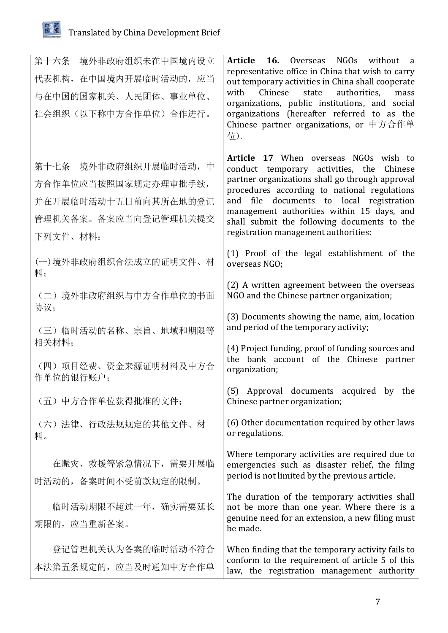| 第十六条 境外非政府组织未在中国境内设立<br>代表机构, 在中国境内开展临时活动的, 应当<br>与在中国的国家机关、人民团体、事业单位、<br>社会组织(以下称中方合作单位)合作进行。            | Article 16.<br>Overseas NGOs without<br>representative office in China that wish to carry<br>out temporary activities in China shall cooperate<br>Chinese<br>authorities,<br>with<br>state<br>mass<br>organizations, public institutions, and social<br>organizations (hereafter referred to as the<br>Chinese partner organizations, or 中方合作单<br>位).                  |
|-----------------------------------------------------------------------------------------------------------|------------------------------------------------------------------------------------------------------------------------------------------------------------------------------------------------------------------------------------------------------------------------------------------------------------------------------------------------------------------------|
| 第十七条 境外非政府组织开展临时活动, 中<br>方合作单位应当按照国家规定办理审批手续,<br>并在开展临时活动十五日前向其所在地的登记<br>管理机关备案。备案应当向登记管理机关提交<br>下列文件、材料: | Article 17 When overseas NGOs wish to<br>conduct temporary activities, the Chinese<br>partner organizations shall go through approval<br>procedures according to national regulations<br>and file documents to local registration<br>management authorities within 15 days, and<br>shall submit the following documents to the<br>registration management authorities: |
| (一)境外非政府组织合法成立的证明文件、材<br>料;                                                                               | (1) Proof of the legal establishment of the<br>overseas NGO;                                                                                                                                                                                                                                                                                                           |
| (二) 境外非政府组织与中方合作单位的书面<br>协议;                                                                              | (2) A written agreement between the overseas<br>NGO and the Chinese partner organization;                                                                                                                                                                                                                                                                              |
| (三)临时活动的名称、宗旨、地域和期限等                                                                                      | (3) Documents showing the name, aim, location<br>and period of the temporary activity;                                                                                                                                                                                                                                                                                 |
| 相关材料;<br>(四) 项目经费、资金来源证明材料及中方合<br>作单位的银行账户;                                                               | (4) Project funding, proof of funding sources and<br>the bank account of the Chinese partner<br>organization;                                                                                                                                                                                                                                                          |
| (五)中方合作单位获得批准的文件;                                                                                         | (5) Approval documents acquired by the<br>Chinese partner organization;                                                                                                                                                                                                                                                                                                |
| (六)法律、行政法规规定的其他文件、材<br>料。                                                                                 | (6) Other documentation required by other laws<br>or regulations.                                                                                                                                                                                                                                                                                                      |
| 在赈灾、救援等紧急情况下, 需要开展临<br>时活动的, 备案时间不受前款规定的限制。                                                               | Where temporary activities are required due to<br>emergencies such as disaster relief, the filing<br>period is not limited by the previous article.                                                                                                                                                                                                                    |
| 临时活动期限不超过一年, 确实需要延长<br>期限的, 应当重新备案。                                                                       | The duration of the temporary activities shall<br>not be more than one year. Where there is a<br>genuine need for an extension, a new filing must<br>be made.                                                                                                                                                                                                          |
| 登记管理机关认为备案的临时活动不符合<br>本法第五条规定的, 应当及时通知中方合作单                                                               | When finding that the temporary activity fails to<br>conform to the requirement of article 5 of this<br>law, the registration management authority                                                                                                                                                                                                                     |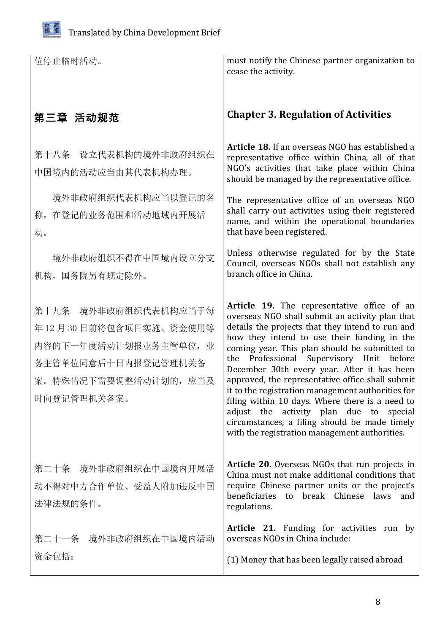

| 位停止临时活动。                                                                                                                              | must notify the Chinese partner organization to<br>cease the activity.                                                                                                                                                                                                                                                                                                                                                                                                                                                                                                                                                                                    |
|---------------------------------------------------------------------------------------------------------------------------------------|-----------------------------------------------------------------------------------------------------------------------------------------------------------------------------------------------------------------------------------------------------------------------------------------------------------------------------------------------------------------------------------------------------------------------------------------------------------------------------------------------------------------------------------------------------------------------------------------------------------------------------------------------------------|
| 第三章 活动规范                                                                                                                              | <b>Chapter 3. Regulation of Activities</b>                                                                                                                                                                                                                                                                                                                                                                                                                                                                                                                                                                                                                |
| 第十八条 设立代表机构的境外非政府组织在<br>中国境内的活动应当由其代表机构办理。                                                                                            | <b>Article 18.</b> If an overseas NGO has established a<br>representative office within China, all of that<br>NGO's activities that take place within China<br>should be managed by the representative office.                                                                                                                                                                                                                                                                                                                                                                                                                                            |
| 境外非政府组织代表机构应当以登记的名<br>称, 在登记的业务范围和活动地域内开展活<br>动。                                                                                      | The representative office of an overseas NGO<br>shall carry out activities using their registered<br>name, and within the operational boundaries<br>that have been registered.                                                                                                                                                                                                                                                                                                                                                                                                                                                                            |
| 境外非政府组织不得在中国境内设立分支<br>机构, 国务院另有规定除外。                                                                                                  | Unless otherwise regulated for by the State<br>Council, overseas NGOs shall not establish any<br>branch office in China.                                                                                                                                                                                                                                                                                                                                                                                                                                                                                                                                  |
| 第十九条 境外非政府组织代表机构应当于每<br>年12月30日前将包含项目实施、资金使用等<br>内容的下一年度活动计划报业务主管单位, 业<br>务主管单位同意后十日内报登记管理机关备<br>案。特殊情况下需要调整活动计划的, 应当及<br>时向登记管理机关备案。 | Article 19. The representative office of an<br>overseas NGO shall submit an activity plan that<br>details the projects that they intend to run and<br>how they intend to use their funding in the<br>coming year. This plan should be submitted to<br>Professional Supervisory Unit before<br>the<br>December 30th every year. After it has been<br>approved, the representative office shall submit<br>it to the registration management authorities for<br>filing within 10 days. Where there is a need to<br>adjust the activity plan due to special<br>circumstances, a filing should be made timely<br>with the registration management authorities. |
| 第二十条 境外非政府组织在中国境内开展活<br>动不得对中方合作单位、受益人附加违反中国<br>法律法规的条件。                                                                              | <b>Article 20.</b> Overseas NGOs that run projects in<br>China must not make additional conditions that<br>require Chinese partner units or the project's<br>beneficiaries to break Chinese laws<br>and<br>regulations.                                                                                                                                                                                                                                                                                                                                                                                                                                   |
| 第二十一条 境外非政府组织在中国境内活动                                                                                                                  | Article 21. Funding for activities run by<br>overseas NGOs in China include:                                                                                                                                                                                                                                                                                                                                                                                                                                                                                                                                                                              |
| 资金包括:                                                                                                                                 | (1) Money that has been legally raised abroad                                                                                                                                                                                                                                                                                                                                                                                                                                                                                                                                                                                                             |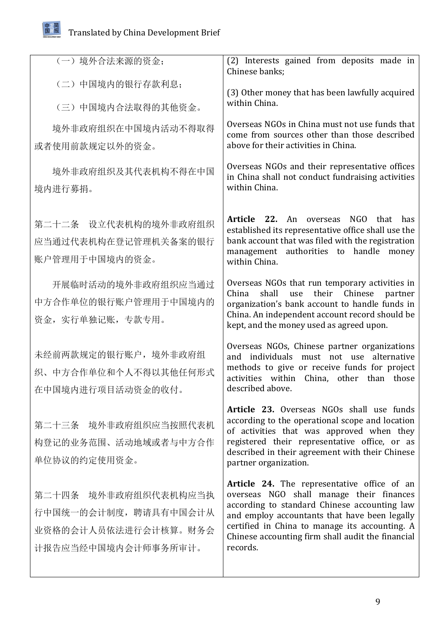## 田发简国展报 Translated by China Development Brief

| (一) 境外合法来源的资金;                                                 | (2) Interests gained from deposits made in<br>Chinese banks;                                                                                                                                                      |
|----------------------------------------------------------------|-------------------------------------------------------------------------------------------------------------------------------------------------------------------------------------------------------------------|
| (二)中国境内的银行存款利息;                                                | (3) Other money that has been lawfully acquired                                                                                                                                                                   |
| (三)中国境内合法取得的其他资金。                                              | within China.                                                                                                                                                                                                     |
| 境外非政府组织在中国境内活动不得取得                                             | Overseas NGOs in China must not use funds that<br>come from sources other than those described                                                                                                                    |
| 或者使用前款规定以外的资金。                                                 | above for their activities in China.                                                                                                                                                                              |
| 境外非政府组织及其代表机构不得在中国                                             | Overseas NGOs and their representative offices<br>in China shall not conduct fundraising activities                                                                                                               |
| 境内进行募捐。                                                        | within China.                                                                                                                                                                                                     |
| 第二十二条 设立代表机构的境外非政府组织<br>应当通过代表机构在登记管理机关备案的银行<br>账户管理用于中国境内的资金。 | Article 22. An overseas<br>NGO that<br>has<br>established its representative office shall use the<br>bank account that was filed with the registration<br>management authorities to handle money<br>within China. |
| 开展临时活动的境外非政府组织应当通过                                             | Overseas NGOs that run temporary activities in<br>shall use<br>their Chinese<br>China<br>partner                                                                                                                  |
| 中方合作单位的银行账户管理用于中国境内的                                           | organization's bank account to handle funds in<br>China. An independent account record should be                                                                                                                  |
| 资金, 实行单独记账, 专款专用。                                              | kept, and the money used as agreed upon.                                                                                                                                                                          |
| 未经前两款规定的银行账户,境外非政府组                                            | Overseas NGOs, Chinese partner organizations<br>and individuals must not use alternative                                                                                                                          |
| 织、中方合作单位和个人不得以其他任何形式                                           | methods to give or receive funds for project<br>activities within China, other than those                                                                                                                         |
| 在中国境内进行项目活动资金的收付。                                              | described above.                                                                                                                                                                                                  |
| 第二十三条 境外非政府组织应当按照代表机                                           | Article 23. Overseas NGOs shall use funds<br>according to the operational scope and location<br>of activities that was approved when they                                                                         |
| 构登记的业务范围、活动地域或者与中方合作                                           | registered their representative office, or as<br>described in their agreement with their Chinese                                                                                                                  |
| 单位协议的约定使用资金。                                                   | partner organization.                                                                                                                                                                                             |
| 第二十四条 境外非政府组织代表机构应当执                                           | Article 24. The representative office of an<br>overseas NGO shall manage their finances                                                                                                                           |
| 行中国统一的会计制度, 聘请具有中国会计从                                          | according to standard Chinese accounting law<br>and employ accountants that have been legally                                                                                                                     |
| 业资格的会计人员依法进行会计核算。财务会                                           | certified in China to manage its accounting. A<br>Chinese accounting firm shall audit the financial                                                                                                               |
| 计报告应当经中国境内会计师事务所审计。                                            | records.                                                                                                                                                                                                          |
|                                                                |                                                                                                                                                                                                                   |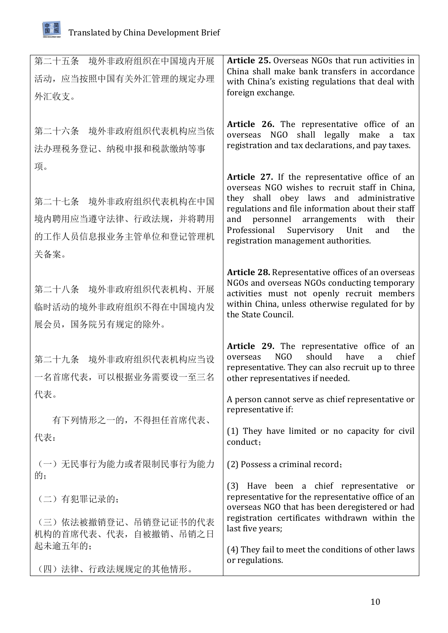| 第二十五条 境外非政府组织在中国境内开展<br>活动, 应当按照中国有关外汇管理的规定办理<br>外汇收支。                              | <b>Article 25.</b> Overseas NGOs that run activities in<br>China shall make bank transfers in accordance<br>with China's existing regulations that deal with<br>foreign exchange.                                                                                                                                                    |
|-------------------------------------------------------------------------------------|--------------------------------------------------------------------------------------------------------------------------------------------------------------------------------------------------------------------------------------------------------------------------------------------------------------------------------------|
| 第二十六条 境外非政府组织代表机构应当依<br>法办理税务登记、纳税申报和税款缴纳等事                                         | Article 26. The representative office of an<br>overseas NGO shall legally make a tax<br>registration and tax declarations, and pay taxes.                                                                                                                                                                                            |
| 项。<br>第二十七条 境外非政府组织代表机构在中国<br>境内聘用应当遵守法律、行政法规, 并将聘用<br>的工作人员信息报业务主管单位和登记管理机<br>关备案。 | Article 27. If the representative office of an<br>overseas NGO wishes to recruit staff in China,<br>they shall obey laws and administrative<br>regulations and file information about their staff<br>and personnel arrangements with<br>their<br>Professional Supervisory Unit<br>and<br>the<br>registration management authorities. |
| 第二十八条 境外非政府组织代表机构、开展<br>临时活动的境外非政府组织不得在中国境内发<br>展会员, 国务院另有规定的除外。                    | Article 28. Representative offices of an overseas<br>NGOs and overseas NGOs conducting temporary<br>activities must not openly recruit members<br>within China, unless otherwise regulated for by<br>the State Council.                                                                                                              |
| 第二十九条 境外非政府组织代表机构应当设<br>一名首席代表,可以根据业务需要设一至三名                                        | Article 29. The representative office of an<br>NGO –<br>should<br>have<br>chief<br>overseas<br>a<br>representative. They can also recruit up to three<br>other representatives if needed.                                                                                                                                            |
| 代表。<br>有下列情形之一的, 不得担任首席代表、                                                          | A person cannot serve as chief representative or<br>representative if:                                                                                                                                                                                                                                                               |
| 代表:                                                                                 | (1) They have limited or no capacity for civil<br>conduct;                                                                                                                                                                                                                                                                           |
| (一) 无民事行为能力或者限制民事行为能力<br>的;                                                         | (2) Possess a criminal record;                                                                                                                                                                                                                                                                                                       |
| (二)有犯罪记录的;<br>(三) 依法被撤销登记、吊销登记证书的代表<br>机构的首席代表、代表, 自被撤销、吊销之日                        | (3) Have been a chief representative or<br>representative for the representative office of an<br>overseas NGO that has been deregistered or had<br>registration certificates withdrawn within the<br>last five years;                                                                                                                |
| 起未逾五年的;<br>(四)法律、行政法规规定的其他情形。                                                       | (4) They fail to meet the conditions of other laws<br>or regulations.                                                                                                                                                                                                                                                                |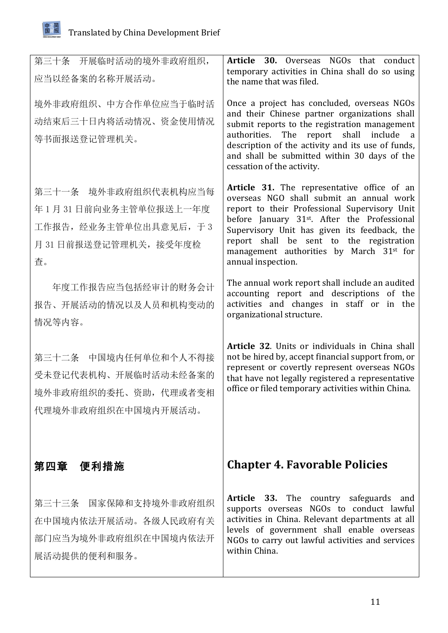

| 第三十条 开展临时活动的境外非政府组织,<br>应当以经备案的名称开展活动。                                                                 | Article 30. Overseas NGOs that conduct<br>temporary activities in China shall do so using<br>the name that was filed.                                                                                                                                                                                                                                                          |
|--------------------------------------------------------------------------------------------------------|--------------------------------------------------------------------------------------------------------------------------------------------------------------------------------------------------------------------------------------------------------------------------------------------------------------------------------------------------------------------------------|
| 境外非政府组织、中方合作单位应当于临时活<br>动结束后三十日内将活动情况、资金使用情况<br>等书面报送登记管理机关。                                           | Once a project has concluded, overseas NGOs<br>and their Chinese partner organizations shall<br>submit reports to the registration management<br>authorities. The report shall<br>include a<br>description of the activity and its use of funds,<br>and shall be submitted within 30 days of the<br>cessation of the activity.                                                 |
| 第三十一条 境外非政府组织代表机构应当每<br>年1月31日前向业务主管单位报送上一年度<br>工作报告, 经业务主管单位出具意见后, 于3<br>月 31 日前报送登记管理机关, 接受年度检<br>査。 | Article 31. The representative office of an<br>overseas NGO shall submit an annual work<br>report to their Professional Supervisory Unit<br>before January 31 <sup>st</sup> . After the Professional<br>Supervisory Unit has given its feedback, the<br>report shall be sent to the registration<br>management authorities by March 31 <sup>st</sup> for<br>annual inspection. |
| 年度工作报告应当包括经审计的财务会计<br>报告、开展活动的情况以及人员和机构变动的<br>情况等内容。                                                   | The annual work report shall include an audited<br>accounting report and descriptions of the<br>activities and changes in staff or in the<br>organizational structure.                                                                                                                                                                                                         |
| 第三十二条 中国境内任何单位和个人不得接<br>受未登记代表机构、开展临时活动未经备案的<br>境外非政府组织的委托、资助,代理或者变相<br>代理境外非政府组织在中国境内开展活动。            | Article 32. Units or individuals in China shall<br>not be hired by, accept financial support from, or<br>represent or covertly represent overseas NGOs<br>that have not legally registered a representative<br>office or filed temporary activities within China.                                                                                                              |
| 第四章 便利措施                                                                                               | <b>Chapter 4. Favorable Policies</b>                                                                                                                                                                                                                                                                                                                                           |
| 第三十三条 国家保障和支持境外非政府组织<br>在中国境内依法开展活动。各级人民政府有关<br>部门应当为境外非政府组织在中国境内依法开<br>展活动提供的便利和服务。                   | <b>Article 33.</b> The country safeguards<br>and<br>supports overseas NGOs to conduct lawful<br>activities in China. Relevant departments at all<br>levels of government shall enable overseas<br>NGOs to carry out lawful activities and services<br>within China.                                                                                                            |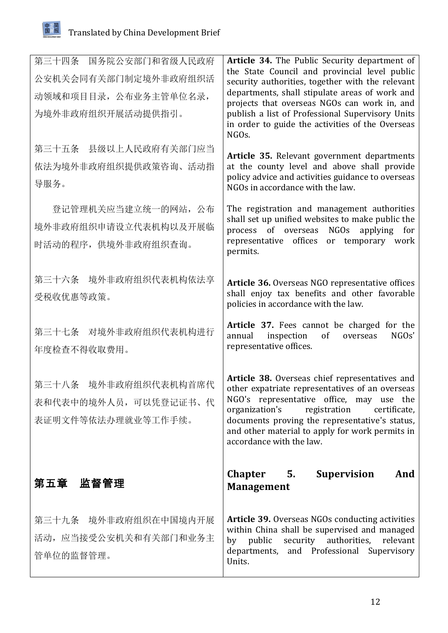| 第三十四条 国务院公安部门和省级人民政府<br>公安机关会同有关部门制定境外非政府组织活<br>动领域和项目目录, 公布业务主管单位名录,<br>为境外非政府组织开展活动提供指引。 | Article 34. The Public Security department of<br>the State Council and provincial level public<br>security authorities, together with the relevant<br>departments, shall stipulate areas of work and<br>projects that overseas NGOs can work in, and<br>publish a list of Professional Supervisory Units<br>in order to guide the activities of the Overseas<br>NGO <sub>s</sub> . |
|--------------------------------------------------------------------------------------------|------------------------------------------------------------------------------------------------------------------------------------------------------------------------------------------------------------------------------------------------------------------------------------------------------------------------------------------------------------------------------------|
| 第三十五条 县级以上人民政府有关部门应当<br>依法为境外非政府组织提供政策咨询、活动指<br>导服务。                                       | Article 35. Relevant government departments<br>at the county level and above shall provide<br>policy advice and activities guidance to overseas<br>NGOs in accordance with the law.                                                                                                                                                                                                |
| 登记管理机关应当建立统一的网站, 公布<br>境外非政府组织申请设立代表机构以及开展临<br>时活动的程序, 供境外非政府组织查询。                         | The registration and management authorities<br>shall set up unified websites to make public the<br>process of overseas<br>NGOs<br>applying for<br>representative offices<br>or temporary work<br>permits.                                                                                                                                                                          |
| 第三十六条 境外非政府组织代表机构依法享<br>受税收优惠等政策。                                                          | Article 36. Overseas NGO representative offices<br>shall enjoy tax benefits and other favorable<br>policies in accordance with the law.                                                                                                                                                                                                                                            |
| 第三十七条 对境外非政府组织代表机构进行<br>年度检查不得收取费用。                                                        | Article 37. Fees cannot be charged for the<br>NGOs'<br>annual<br>inspection<br>of<br>overseas<br>representative offices.                                                                                                                                                                                                                                                           |
| 第三十八条 境外非政府组织代表机构首席代<br>表和代表中的境外人员, 可以凭登记证书、代<br>表证明文件等依法办理就业等工作手续。                        | Article 38. Overseas chief representatives and<br>other expatriate representatives of an overseas<br>NGO's representative office, may use the<br>organization's<br>registration<br>certificate,<br>documents proving the representative's status,<br>and other material to apply for work permits in<br>accordance with the law.                                                   |
| 第五章 监督管理                                                                                   | Supervision<br>And<br>Chapter 5.<br><b>Management</b>                                                                                                                                                                                                                                                                                                                              |
| 第三十九条 境外非政府组织在中国境内开展<br>活动,应当接受公安机关和有关部门和业务主<br>管单位的监督管理。                                  | <b>Article 39.</b> Overseas NGOs conducting activities<br>within China shall be supervised and managed<br>by public<br>security authorities,<br>relevant<br>departments, and Professional Supervisory<br>Units.                                                                                                                                                                    |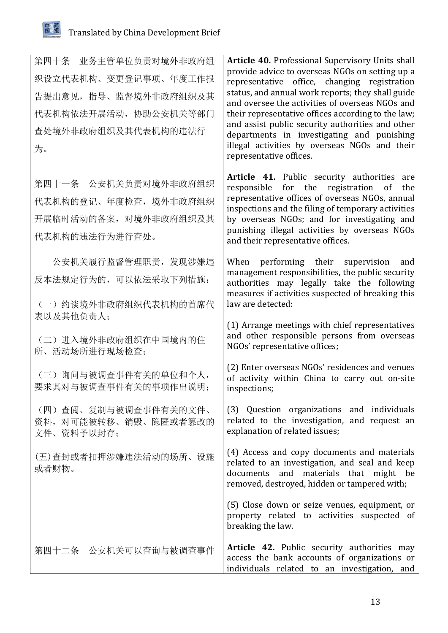

| 第四十条 业务主管单位负责对境外非政府组<br>织设立代表机构、变更登记事项、年度工作报<br>告提出意见, 指导、监督境外非政府组织及其<br>代表机构依法开展活动, 协助公安机关等部门<br>查处境外非政府组织及其代表机构的违法行<br>为。 | Article 40. Professional Supervisory Units shall<br>provide advice to overseas NGOs on setting up a<br>representative office, changing registration<br>status, and annual work reports; they shall guide<br>and oversee the activities of overseas NGOs and<br>their representative offices according to the law;<br>and assist public security authorities and other<br>departments in investigating and punishing<br>illegal activities by overseas NGOs and their<br>representative offices. |
|-----------------------------------------------------------------------------------------------------------------------------|-------------------------------------------------------------------------------------------------------------------------------------------------------------------------------------------------------------------------------------------------------------------------------------------------------------------------------------------------------------------------------------------------------------------------------------------------------------------------------------------------|
| 第四十一条 公安机关负责对境外非政府组织<br>代表机构的登记、年度检查, 境外非政府组织<br>开展临时活动的备案, 对境外非政府组织及其<br>代表机构的违法行为进行查处。                                    | Article 41. Public security authorities are<br>for the registration of<br>responsible<br>the<br>representative offices of overseas NGOs, annual<br>inspections and the filing of temporary activities<br>by overseas NGOs; and for investigating and<br>punishing illegal activities by overseas NGOs<br>and their representative offices.                                                                                                                                                      |
| 公安机关履行监督管理职责, 发现涉嫌违<br>反本法规定行为的,可以依法采取下列措施:<br>(一) 约谈境外非政府组织代表机构的首席代                                                        | When performing their supervision<br>and<br>management responsibilities, the public security<br>authorities may legally take the following<br>measures if activities suspected of breaking this<br>law are detected:                                                                                                                                                                                                                                                                            |
| 表以及其他负责人;<br>(二) 进入境外非政府组织在中国境内的住<br>所、活动场所进行现场检查;                                                                          | (1) Arrange meetings with chief representatives<br>and other responsible persons from overseas<br>NGOs' representative offices;                                                                                                                                                                                                                                                                                                                                                                 |
| (三)询问与被调查事件有关的单位和个人,<br>要求其对与被调查事件有关的事项作出说明;                                                                                | (2) Enter overseas NGOs' residences and venues<br>of activity within China to carry out on-site<br>inspections;                                                                                                                                                                                                                                                                                                                                                                                 |
| (四)查阅、复制与被调查事件有关的文件、<br>资料, 对可能被转移、销毁、隐匿或者篡改的<br>文件、资料予以封存;                                                                 | (3) Question organizations and individuals<br>related to the investigation, and request an<br>explanation of related issues;                                                                                                                                                                                                                                                                                                                                                                    |
| (五)查封或者扣押涉嫌违法活动的场所、设施<br>或者财物。                                                                                              | (4) Access and copy documents and materials<br>related to an investigation, and seal and keep<br>documents and materials that might be<br>removed, destroyed, hidden or tampered with;                                                                                                                                                                                                                                                                                                          |
|                                                                                                                             | (5) Close down or seize venues, equipment, or<br>property related to activities suspected of<br>breaking the law.                                                                                                                                                                                                                                                                                                                                                                               |
| 第四十二条 公安机关可以查询与被调查事件                                                                                                        | Article 42. Public security authorities may<br>access the bank accounts of organizations or<br>individuals related to an investigation, and                                                                                                                                                                                                                                                                                                                                                     |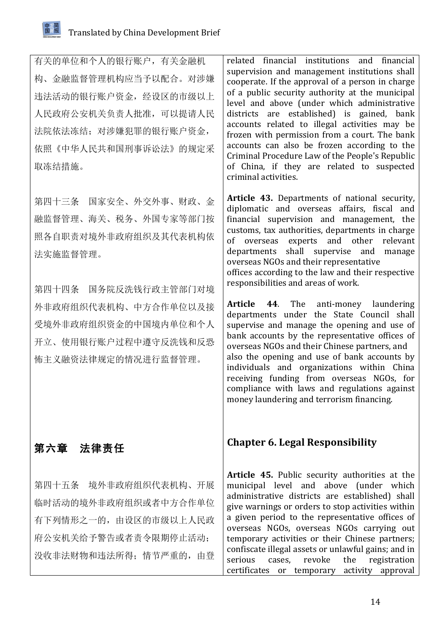有关的单位和个人的银行账户,有关金融机 构、金融监督管理机构应当予以配合。对涉嫌 违法活动的银行账户资金,经设区的市级以上 人民政府公安机关负责人批准,可以提请人民 法院依法冻结;对涉嫌犯罪的银行账户资金, 依照《中华人民共和国刑事诉讼法》的规定采 取冻结措施。

第四十三条 国家安全、外交外事、财政、金 融监督管理、海关、税务、外国专家等部门按 照各自职责对境外非政府组织及其代表机构依 法实施监督管理。

第四十四条 国务院反洗钱行政主管部门对境 外非政府组织代表机构、中方合作单位以及接 受境外非政府组织资金的中国境内单位和个人 开立、使用银行账户过程中遵守反洗钱和反恐 怖主义融资法律规定的情况进行监督管理。

## 第六章 法律责任

第四十五条 境外非政府组织代表机构、开展 临时活动的境外非政府组织或者中方合作单位 有下列情形之一的,由设区的市级以上人民政 府公安机关给予警告或者责令限期停止活动; 没收非法财物和违法所得;情节严重的,由登

related financial institutions and financial supervision and management institutions shall cooperate. If the approval of a person in charge of a public security authority at the municipal level and above (under which administrative districts are established) is gained, bank accounts related to illegal activities may be frozen with permission from a court. The bank accounts can also be frozen according to the Criminal Procedure Law of the People's Republic of China, if they are related to suspected criminal activities.

Article 43. Departments of national security, diplomatic and overseas affairs, fiscal and financial supervision and management, the customs, tax authorities, departments in charge of overseas experts and other relevant departments shall supervise and manage overseas NGOs and their representative offices according to the law and their respective responsibilities and areas of work.

**Article 44.** The anti-money laundering departments under the State Council shall supervise and manage the opening and use of bank accounts by the representative offices of overseas NGOs and their Chinese partners, and also the opening and use of bank accounts by individuals and organizations within China receiving funding from overseas NGOs, for compliance with laws and regulations against money laundering and terrorism financing.

## **Chapter 6. Legal Responsibility**

**Article 45.** Public security authorities at the municipal level and above (under which administrative districts are established) shall give warnings or orders to stop activities within a given period to the representative offices of overseas NGOs, overseas NGOs carrying out temporary activities or their Chinese partners; confiscate illegal assets or unlawful gains; and in serious cases, revoke the registration certificates or temporary activity approval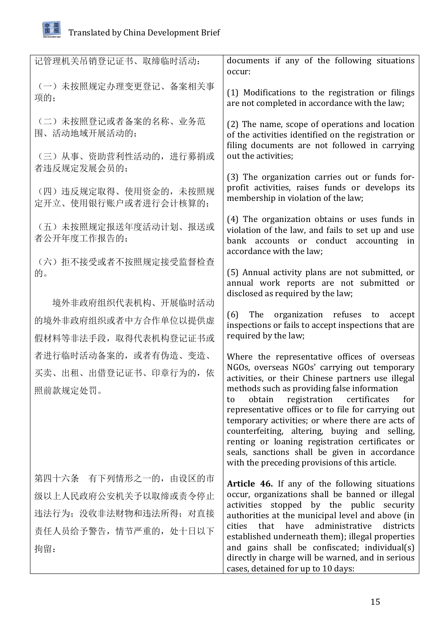

| 记管理机关吊销登记证书、取缔临时活动:                            | documents if any of the following situations<br>occur:                                                                                                                   |
|------------------------------------------------|--------------------------------------------------------------------------------------------------------------------------------------------------------------------------|
| (一) 未按照规定办理变更登记、备案相关事<br>项的;                   | (1) Modifications to the registration or filings<br>are not completed in accordance with the law;                                                                        |
| (二) 未按照登记或者备案的名称、业务范<br>围、活动地域开展活动的;           | (2) The name, scope of operations and location<br>of the activities identified on the registration or<br>filing documents are not followed in carrying                   |
| (三) 从事、资助营利性活动的, 进行募捐或<br>者违反规定发展会员的;          | out the activities;                                                                                                                                                      |
|                                                | (3) The organization carries out or funds for-<br>profit activities, raises funds or develops its                                                                        |
| (四) 违反规定取得、使用资金的, 未按照规<br>定开立、使用银行账户或者进行会计核算的; | membership in violation of the law;                                                                                                                                      |
| (五) 未按照规定报送年度活动计划、报送或<br>者公开年度工作报告的;           | (4) The organization obtains or uses funds in<br>violation of the law, and fails to set up and use<br>bank accounts or conduct accounting in<br>accordance with the law; |
| (六) 拒不接受或者不按照规定接受监督检查<br>的。                    | (5) Annual activity plans are not submitted, or<br>annual work reports are not submitted or                                                                              |
| 境外非政府组织代表机构、开展临时活动                             | disclosed as required by the law;                                                                                                                                        |
| 的境外非政府组织或者中方合作单位以提供虚                           | (6) The organization refuses to accept<br>inspections or fails to accept inspections that are<br>required by the law;                                                    |
| 假材料等非法手段, 取得代表机构登记证书或                          |                                                                                                                                                                          |
| 者进行临时活动备案的, 或者有伪造、变造、                          | Where the representative offices of overseas<br>NGOs, overseas NGOs' carrying out temporary                                                                              |
| 买卖、出租、出借登记证书、印章行为的, 依                          | activities, or their Chinese partners use illegal                                                                                                                        |
| 照前款规定处罚。                                       | methods such as providing false information<br>obtain registration certificates<br>for<br>to<br>representative offices or to file for carrying out                       |
|                                                | temporary activities; or where there are acts of<br>counterfeiting, altering, buying and selling,                                                                        |
|                                                | renting or loaning registration certificates or                                                                                                                          |
|                                                | seals, sanctions shall be given in accordance<br>with the preceding provisions of this article.                                                                          |
| 第四十六条 有下列情形之一的, 由设区的市                          | Article 46. If any of the following situations                                                                                                                           |
| 级以上人民政府公安机关予以取缔或责令停止                           | occur, organizations shall be banned or illegal<br>activities stopped by the public security                                                                             |
| 违法行为; 没收非法财物和违法所得; 对直接                         | authorities at the municipal level and above (in<br>that have<br>administrative<br>districts<br>cities<br>established underneath them); illegal properties               |
| 责任人员给予警告, 情节严重的, 处十日以下                         |                                                                                                                                                                          |
| 拘留:                                            | and gains shall be confiscated; individual(s)<br>directly in charge will be warned, and in serious<br>cases, detained for up to 10 days:                                 |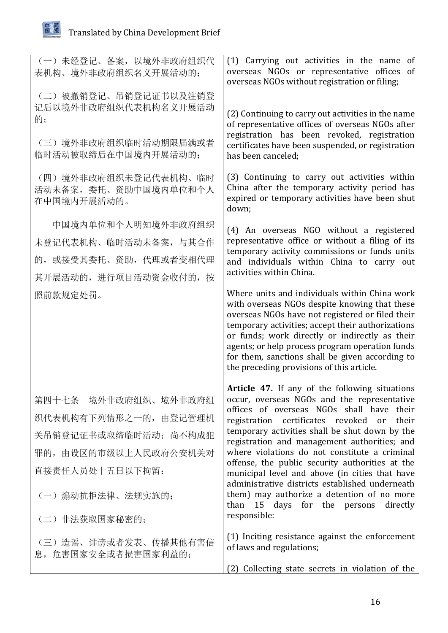

| (一) 未经登记、备案, 以境外非政府组织代<br>表机构、境外非政府组织名义开展活动的;                                                                                                           | (1) Carrying out activities in the name of<br>overseas NGOs or representative offices of<br>overseas NGOs without registration or filing;                                                                                                                                                                                                                                                                                                                                                                                                                                                                     |
|---------------------------------------------------------------------------------------------------------------------------------------------------------|---------------------------------------------------------------------------------------------------------------------------------------------------------------------------------------------------------------------------------------------------------------------------------------------------------------------------------------------------------------------------------------------------------------------------------------------------------------------------------------------------------------------------------------------------------------------------------------------------------------|
| (二) 被撤销登记、吊销登记证书以及注销登<br>记后以境外非政府组织代表机构名义开展活动<br>的;<br>(三)境外非政府组织临时活动期限届满或者<br>临时活动被取缔后在中国境内开展活动的;                                                      | (2) Continuing to carry out activities in the name<br>of representative offices of overseas NGOs after<br>registration has been revoked, registration<br>certificates have been suspended, or registration<br>has been canceled;                                                                                                                                                                                                                                                                                                                                                                              |
| (四)境外非政府组织未登记代表机构、临时<br>活动未备案,委托、资助中国境内单位和个人<br>在中国境内开展活动的。                                                                                             | (3) Continuing to carry out activities within<br>China after the temporary activity period has<br>expired or temporary activities have been shut<br>down;                                                                                                                                                                                                                                                                                                                                                                                                                                                     |
| 中国境内单位和个人明知境外非政府组织<br>未登记代表机构、临时活动未备案,与其合作<br>的, 或接受其委托、资助, 代理或者变相代理<br>其开展活动的, 进行项目活动资金收付的, 按                                                          | (4) An overseas NGO without a registered<br>representative office or without a filing of its<br>temporary activity commissions or funds units<br>and individuals within China to carry out<br>activities within China.                                                                                                                                                                                                                                                                                                                                                                                        |
| 照前款规定处罚。                                                                                                                                                | Where units and individuals within China work<br>with overseas NGOs despite knowing that these<br>overseas NGOs have not registered or filed their<br>temporary activities; accept their authorizations<br>or funds; work directly or indirectly as their<br>agents; or help process program operation funds<br>for them, sanctions shall be given according to<br>the preceding provisions of this article.                                                                                                                                                                                                  |
| 第四十七条 境外非政府组织、境外非政府组<br>织代表机构有下列情形之一的,由登记管理机<br>关吊销登记证书或取缔临时活动; 尚不构成犯<br>罪的, 由设区的市级以上人民政府公安机关对<br>直接责任人员处十五日以下拘留:<br>(一)煽动抗拒法律、法规实施的;<br>(二) 非法获取国家秘密的; | Article 47. If any of the following situations<br>occur, overseas NGOs and the representative<br>offices of overseas NGOs shall have their<br>registration certificates revoked or<br>their<br>temporary activities shall be shut down by the<br>registration and management authorities; and<br>where violations do not constitute a criminal<br>offense, the public security authorities at the<br>municipal level and above (in cities that have<br>administrative districts established underneath<br>them) may authorize a detention of no more<br>than 15 days for the persons directly<br>responsible: |
| (三) 造谣、诽谤或者发表、传播其他有害信<br>息, 危害国家安全或者损害国家利益的;                                                                                                            | (1) Inciting resistance against the enforcement<br>of laws and regulations;<br>(2) Collecting state secrets in violation of the                                                                                                                                                                                                                                                                                                                                                                                                                                                                               |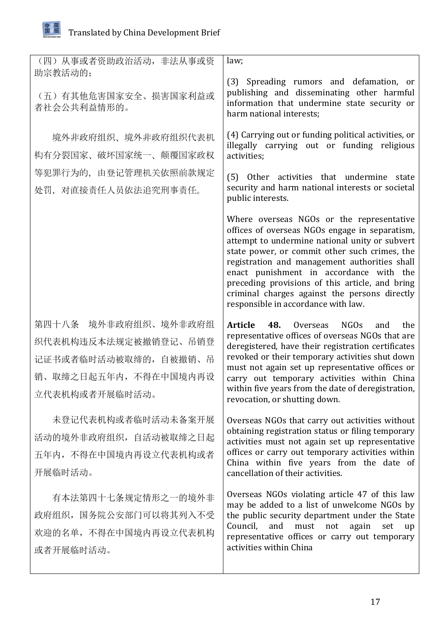田发简国展报

| (四) 从事或者资助政治活动, 非法从事或资<br>助宗教活动的;                                                                                | law;                                                                                                                                                                                                                                                                                                                                                                                                                                  |
|------------------------------------------------------------------------------------------------------------------|---------------------------------------------------------------------------------------------------------------------------------------------------------------------------------------------------------------------------------------------------------------------------------------------------------------------------------------------------------------------------------------------------------------------------------------|
| (五) 有其他危害国家安全、损害国家利益或<br>者社会公共利益情形的。                                                                             | (3) Spreading rumors and defamation, or<br>publishing and disseminating other harmful<br>information that undermine state security or<br>harm national interests;                                                                                                                                                                                                                                                                     |
| 境外非政府组织、境外非政府组织代表机<br>构有分裂国家、破坏国家统一、颠覆国家政权                                                                       | (4) Carrying out or funding political activities, or<br>illegally carrying out or funding religious<br>activities;                                                                                                                                                                                                                                                                                                                    |
| 等犯罪行为的, 由登记管理机关依照前款规定<br>处罚, 对直接责任人员依法追究刑事责任。                                                                    | (5) Other activities that undermine state<br>security and harm national interests or societal<br>public interests.                                                                                                                                                                                                                                                                                                                    |
|                                                                                                                  | Where overseas NGOs or the representative<br>offices of overseas NGOs engage in separatism,<br>attempt to undermine national unity or subvert<br>state power, or commit other such crimes, the<br>registration and management authorities shall<br>enact punishment in accordance with the<br>preceding provisions of this article, and bring<br>criminal charges against the persons directly<br>responsible in accordance with law. |
| 第四十八条 境外非政府组织、境外非政府组<br>织代表机构违反本法规定被撤销登记、吊销登<br>记证书或者临时活动被取缔的, 自被撤销、吊<br>销、取缔之日起五年内, 不得在中国境内再设<br>立代表机构或者开展临时活动。 | Article 48.<br>NGOs<br>Overseas<br>the<br>and<br>representative offices of overseas NGOs that are<br>deregistered, have their registration certificates<br>revoked or their temporary activities shut down<br>must not again set up representative offices or<br>carry out temporary activities within China<br>within five years from the date of deregistration,<br>revocation, or shutting down.                                   |
| 未登记代表机构或者临时活动未备案开展<br>活动的境外非政府组织, 自活动被取缔之日起<br>五年内, 不得在中国境内再设立代表机构或者<br>开展临时活动。                                  | Overseas NGOs that carry out activities without<br>obtaining registration status or filing temporary<br>activities must not again set up representative<br>offices or carry out temporary activities within<br>China within five years from the date of<br>cancellation of their activities.                                                                                                                                          |
| 有本法第四十七条规定情形之一的境外非<br>政府组织, 国务院公安部门可以将其列入不受<br>欢迎的名单, 不得在中国境内再设立代表机构<br>或者开展临时活动。                                | Overseas NGOs violating article 47 of this law<br>may be added to a list of unwelcome NGOs by<br>the public security department under the State<br>Council,<br>must not<br>and<br>again<br>set<br>up<br>representative offices or carry out temporary<br>activities within China                                                                                                                                                      |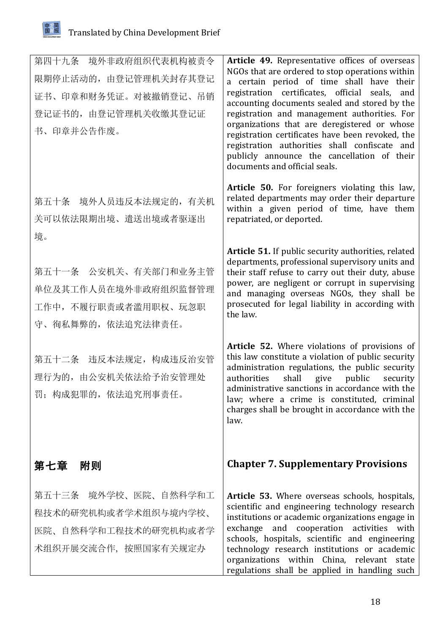

| 第四十九条 境外非政府组织代表机构被责令<br>限期停止活动的, 由登记管理机关封存其登记<br>证书、印章和财务凭证。对被撤销登记、吊销<br>登记证书的, 由登记管理机关收缴其登记证<br>书、印章并公告作废。 | Article 49. Representative offices of overseas<br>NGOs that are ordered to stop operations within<br>a certain period of time shall have their<br>registration certificates, official seals, and<br>accounting documents sealed and stored by the<br>registration and management authorities. For<br>organizations that are deregistered or whose<br>registration certificates have been revoked, the<br>registration authorities shall confiscate and<br>publicly announce the cancellation of their<br>documents and official seals. |
|-------------------------------------------------------------------------------------------------------------|----------------------------------------------------------------------------------------------------------------------------------------------------------------------------------------------------------------------------------------------------------------------------------------------------------------------------------------------------------------------------------------------------------------------------------------------------------------------------------------------------------------------------------------|
| 第五十条 境外人员违反本法规定的, 有关机<br>关可以依法限期出境、遣送出境或者驱逐出<br>境。                                                          | Article 50. For foreigners violating this law,<br>related departments may order their departure<br>within a given period of time, have them<br>repatriated, or deported.                                                                                                                                                                                                                                                                                                                                                               |
| 第五十一条 公安机关、有关部门和业务主管<br>单位及其工作人员在境外非政府组织监督管理<br>工作中, 不履行职责或者滥用职权、玩忽职<br>守、徇私舞弊的, 依法追究法律责任。                  | Article 51. If public security authorities, related<br>departments, professional supervisory units and<br>their staff refuse to carry out their duty, abuse<br>power, are negligent or corrupt in supervising<br>and managing overseas NGOs, they shall be<br>prosecuted for legal liability in according with<br>the law.                                                                                                                                                                                                             |
| 第五十二条 违反本法规定, 构成违反治安管<br>理行为的, 由公安机关依法给予治安管理处<br>罚; 构成犯罪的, 依法追究刑事责任。                                        | Article 52. Where violations of provisions of<br>this law constitute a violation of public security<br>administration regulations, the public security<br>authorities<br>shall<br>give public security<br>administrative sanctions in accordance with the<br>law; where a crime is constituted, criminal<br>charges shall be brought in accordance with the<br>law.                                                                                                                                                                    |
| 第七章 附则                                                                                                      | <b>Chapter 7. Supplementary Provisions</b>                                                                                                                                                                                                                                                                                                                                                                                                                                                                                             |
| 第五十三条 境外学校、医院、自然科学和工<br>程技术的研究机构或者学术组织与境内学校、<br>医院、自然科学和工程技术的研究机构或者学<br>术组织开展交流合作, 按照国家有关规定办                | Article 53. Where overseas schools, hospitals,<br>scientific and engineering technology research<br>institutions or academic organizations engage in<br>exchange and cooperation activities with<br>schools, hospitals, scientific and engineering<br>technology research institutions or academic<br>organizations within China, relevant state<br>regulations shall be applied in handling such                                                                                                                                      |